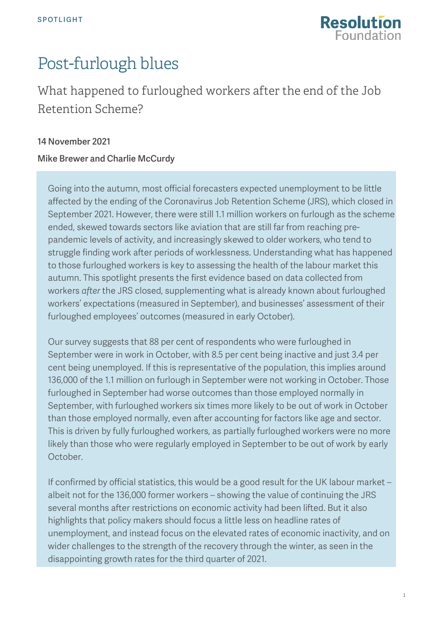

# Post-furlough blues

## What happened to furloughed workers after the end of the Job Retention Scheme?

#### 14 November 2021

#### Mike Brewer and Charlie McCurdy

Going into the autumn, most official forecasters expected unemployment to be little affected by the ending of the Coronavirus Job Retention Scheme (JRS), which closed in September 2021. However, there were still 1.1 million workers on furlough as the scheme ended, skewed towards sectors like aviation that are still far from reaching prepandemic levels of activity, and increasingly skewed to older workers, who tend to struggle finding work after periods of worklessness. Understanding what has happened to those furloughed workers is key to assessing the health of the labour market this autumn. This spotlight presents the first evidence based on data collected from workers *after* the JRS closed, supplementing what is already known about furloughed workers' expectations (measured in September), and businesses' assessment of their furloughed employees' outcomes (measured in early October).

Our survey suggests that 88 per cent of respondents who were furloughed in September were in work in October, with 8.5 per cent being inactive and just 3.4 per cent being unemployed. If this is representative of the population, this implies around 136,000 of the 1.1 million on furlough in September were not working in October. Those furloughed in September had worse outcomes than those employed normally in September, with furloughed workers six times more likely to be out of work in October than those employed normally, even after accounting for factors like age and sector. This is driven by fully furloughed workers, as partially furloughed workers were no more likely than those who were regularly employed in September to be out of work by early October.

If confirmed by official statistics, this would be a good result for the UK labour market – albeit not for the 136,000 former workers – showing the value of continuing the JRS several months after restrictions on economic activity had been lifted. But it also highlights that policy makers should focus a little less on headline rates of unemployment, and instead focus on the elevated rates of economic inactivity, and on wider challenges to the strength of the recovery through the winter, as seen in the disappointing growth rates for the third quarter of 2021.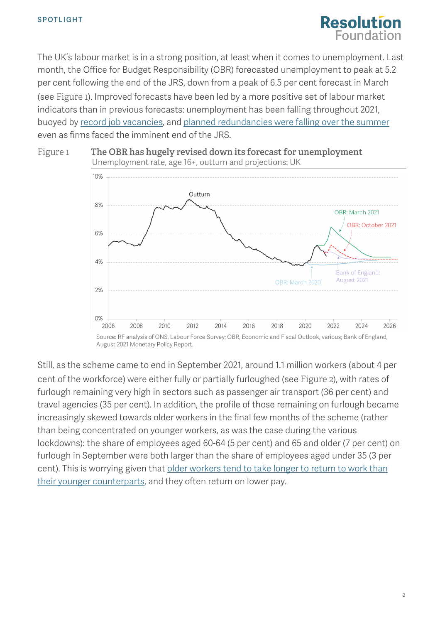

The UK's labour market is in a strong position, at least when it comes to unemployment. Last month, the Office for Budget Responsibility (OBR) forecasted unemployment to peak at 5.2 per cent following the end of the JRS, down from a peak of 6.5 per cent forecast in March (see [Figure 1](#page-1-0)). Improved forecasts have been led by a more positive set of labour market indicators than in previous forecasts: unemployment has been falling throughout 2021, buoyed by [record job vacancies,](https://www.ons.gov.uk/employmentandlabourmarket/peopleinwork/employmentandemployeetypes/bulletins/jobsandvacanciesintheuk/latest) and [planned redundancies were falling](https://www.bbc.co.uk/news/business-58441555) over the summer even as firms faced the imminent end of the JRS.

<span id="page-1-0"></span>

August 2021 Monetary Policy Report.

<span id="page-1-1"></span>Still, as the scheme came to end in September 2021, around 1.1 million workers (about 4 per cent of the workforce) were either fully or partially furloughed (see [Figure 2](#page-1-1)), with rates of furlough remaining very high in sectors such as passenger air transport (36 per cent) and travel agencies (35 per cent). In addition, the profile of those remaining on furlough became increasingly skewed towards older workers in the final few months of the scheme (rather than being concentrated on younger workers, as was the case during the various lockdowns): the share of employees aged 60-64 (5 per cent) and 65 and older (7 per cent) on furlough in September were both larger than the share of employees aged under 35 (3 per cent). This is worrying given that older workers tend to take longer to return to work than [their younger counterparts,](https://www.resolutionfoundation.org/publications/the-living-standards-audit-2021/) and they often return on lower pay.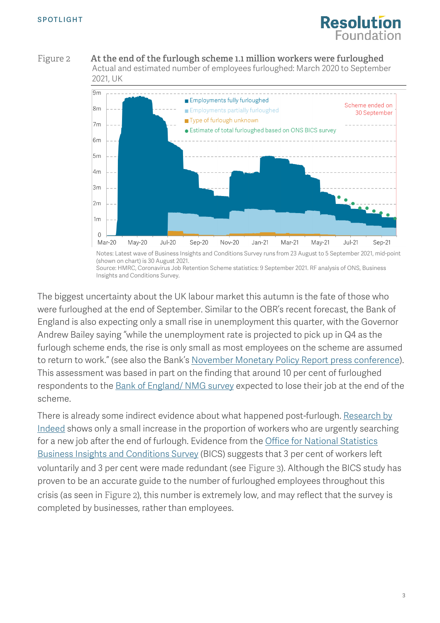

Figure 2 **At the end of the furlough scheme 1.1 million workers were furloughed** Actual and estimated number of employees furloughed: March 2020 to September 2021, UK



Notes: Latest wave of Business Insights and Conditions Survey runs from 23 August to 5 September 2021, mid-point (shown on chart) is 30 August 2021. Source: HMRC, Coronavirus Job Retention Scheme statistics: 9 September 2021. RF analysis of ONS, Business Insights and Conditions Survey.

The biggest uncertainty about the UK labour market this autumn is the fate of those who were furloughed at the end of September. Similar to the OBR's recent forecast, the Bank of England is also expecting only a small rise in unemployment this quarter, with the Governor Andrew Bailey saying "while the unemployment rate is projected to pick up in Q4 as the furlough scheme ends, the rise is only small as most employees on the scheme are assumed to return to work." (see also the Bank's [November Monetary Policy Report press conference\)](https://www.bankofengland.co.uk/monetary-policy-report/2021/november-2021). This assessment was based in part on the finding that around 10 per cent of furloughed respondents to the **Bank of England/ NMG** survey expected to lose their job at the end of the scheme.

<span id="page-2-0"></span>There is already some indirect evidence about what happened post-furlough. Research by [Indeed](https://www.hiringlab.org/uk/blog/2021/11/05/job-search-survey-october-2021/) shows only a small increase in the proportion of workers who are urgently searching for a new job after the end of furlough. Evidence from the [Office for National Statistics](https://www.ons.gov.uk/businessindustryandtrade/business/businessservices/bulletins/businessinsightsandimpactontheukeconomy/4november2021)  [Business Insights and Conditions Survey](https://www.ons.gov.uk/businessindustryandtrade/business/businessservices/bulletins/businessinsightsandimpactontheukeconomy/4november2021) (BICS) suggests that 3 per cent of workers left voluntarily and 3 per cent were made redundant (see [Figure 3](#page-2-0)). Although the BICS study has proven to be an accurate guide to the number of furloughed employees throughout this crisis (as seen in [Figure 2](#page-1-1)), this number is extremely low, and may reflect that the survey is completed by businesses, rather than employees.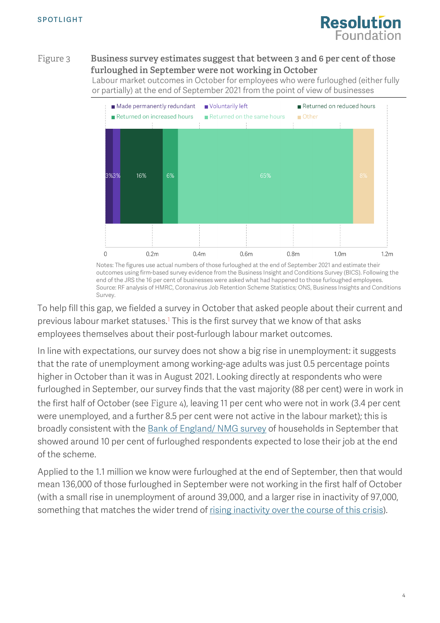

#### Figure 3 **Business survey estimates suggest that between 3 and 6 per cent of those furloughed in September were not working in October**

Labour market outcomes in October for employees who were furloughed (either fully or partially) at the end of September 2021 from the point of view of businesses



Notes: The figures use actual numbers of those furloughed at the end of September 2021 and estimate their outcomes using firm-based survey evidence from the Business Insight and Conditions Survey (BICS). Following the end of the JRS the 16 per cent of businesses were asked what had happened to those furloughed employees. Source: RF analysis of HMRC, Coronavirus Job Retention Scheme Statistics; ONS, Business Insights and Conditions Survey.

To help fill this gap, we fielded a survey in October that asked people about their current and previous labour market statuses.1 This is the first survey that we know of that asks employees themselves about their post-furlough labour market outcomes.

In line with expectations, our survey does not show a big rise in unemployment: it suggests that the rate of unemployment among working-age adults was just 0.5 percentage points higher in October than it was in August 2021. Looking directly at respondents who were furloughed in September, our survey finds that the vast majority (88 per cent) were in work in the first half of October (see [Figure 4](#page-3-0)), leaving 11 per cent who were not in work (3.4 per cent were unemployed, and a further 8.5 per cent were not active in the labour market); this is broadly consistent with the **Bank of England/ NMG** survey of households in September that showed around 10 per cent of furloughed respondents expected to lose their job at the end of the scheme.

<span id="page-3-0"></span>Applied to the 1.1 million we know were furloughed at the end of September, then that would mean 136,000 of those furloughed in September were not working in the first half of October (with a small rise in unemployment of around 39,000, and a larger rise in inactivity of 97,000, something that matches the wider trend of [rising inactivity over the course of this crisis\)](https://www.resolutionfoundation.org/publications/labour-market-outlook-q3-2021/).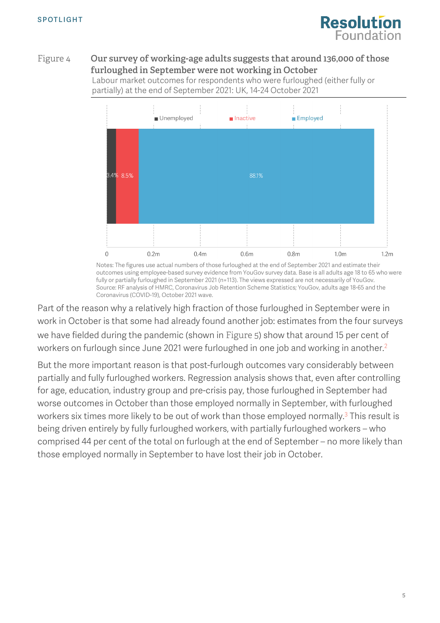

#### Figure 4 **Our survey of working-age adults suggests that around 136,000 of those furloughed in September were not working in October**

Labour market outcomes for respondents who were furloughed (either fully or partially) at the end of September 2021: UK, 14-24 October 2021



Notes: The figures use actual numbers of those furloughed at the end of September 2021 and estimate their outcomes using employee-based survey evidence from YouGov survey data. Base is all adults age 18 to 65 who were fully or partially furloughed in September 2021 (n=113). The views expressed are not necessarily of YouGov. Source: RF analysis of HMRC, Coronavirus Job Retention Scheme Statistics; YouGov, adults age 18-65 and the Coronavirus (COVID-19), October 2021 wave.

Part of the reason why a relatively high fraction of those furloughed in September were in work in October is that some had already found another job: estimates from the four surveys we have fielded during the pandemic (shown in [Figure 5](#page-4-0)) show that around 15 per cent of workers on furlough since June 2021 were furloughed in one job and working in another. 2

<span id="page-4-0"></span>But the more important reason is that post-furlough outcomes vary considerably between partially and fully furloughed workers. Regression analysis shows that, even after controlling for age, education, industry group and pre-crisis pay, those furloughed in September had worse outcomes in October than those employed normally in September, with furloughed workers six times more likely to be out of work than those employed normally.<sup>3</sup> This result is being driven entirely by fully furloughed workers, with partially furloughed workers – who comprised 44 per cent of the total on furlough at the end of September – no more likely than those employed normally in September to have lost their job in October.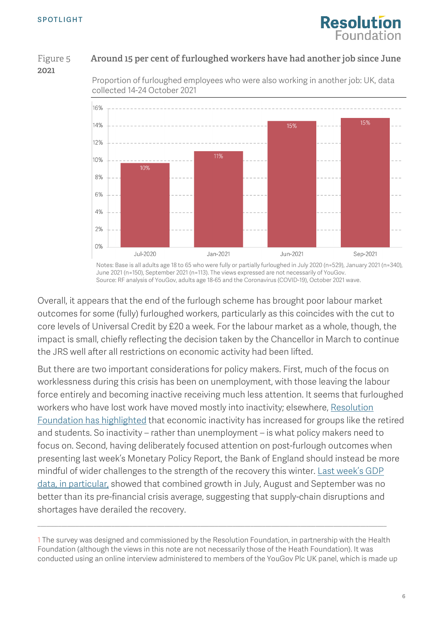

### Figure 5 **Around 15 per cent of furloughed workers have had another job since June 2021**





Notes: Base is all adults age 18 to 65 who were fully or partially furloughed in July 2020 (n=529), January 2021 (n=340), June 2021 (n=150), September 2021 (n=113). The views expressed are not necessarily of YouGov. Source: RF analysis of YouGov, adults age 18-65 and the Coronavirus (COVID-19), October 2021 wave.

Overall, it appears that the end of the furlough scheme has brought poor labour market outcomes for some (fully) furloughed workers, particularly as this coincides with the cut to core levels of Universal Credit by £20 a week. For the labour market as a whole, though, the impact is small, chiefly reflecting the decision taken by the Chancellor in March to continue the JRS well after all restrictions on economic activity had been lifted.

But there are two important considerations for policy makers. First, much of the focus on worklessness during this crisis has been on unemployment, with those leaving the labour force entirely and becoming inactive receiving much less attention. It seems that furloughed workers who have lost work have moved mostly into inactivity; elsewhere, Resolution [Foundation has highlighted](https://www.resolutionfoundation.org/publications/labour-market-outlook-q3-2021/) that economic inactivity has increased for groups like the retired and students. So inactivity – rather than unemployment – is what policy makers need to focus on. Second, having deliberately focused attention on post-furlough outcomes when presenting last week's Monetary Policy Report, the Bank of England should instead be more mindful of wider challenges to the strength of the recovery this winter. Last week's GDP [data,](https://www.ons.gov.uk/economy/grossdomesticproductgdp/bulletins/gdpfirstquarterlyestimateuk/julytoseptember2021) in particular, showed that combined growth in July, August and September was no better than its pre-financial crisis average, suggesting that supply-chain disruptions and shortages have derailed the recovery.

1 The survey was designed and commissioned by the Resolution Foundation, in partnership with the Health Foundation (although the views in this note are not necessarily those of the Heath Foundation). It was conducted using an online interview administered to members of the YouGov Plc UK panel, which is made up

 $\_$  , and the set of the set of the set of the set of the set of the set of the set of the set of the set of the set of the set of the set of the set of the set of the set of the set of the set of the set of the set of th